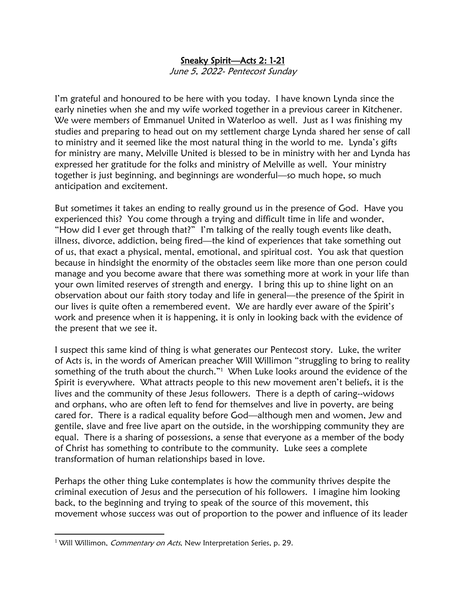## Sneaky Spirit—Acts 2: 1-21

June 5, 2022- Pentecost Sunday

I'm grateful and honoured to be here with you today. I have known Lynda since the early nineties when she and my wife worked together in a previous career in Kitchener. We were members of Emmanuel United in Waterloo as well. Just as I was finishing my studies and preparing to head out on my settlement charge Lynda shared her sense of call to ministry and it seemed like the most natural thing in the world to me. Lynda's gifts for ministry are many, Melville United is blessed to be in ministry with her and Lynda has expressed her gratitude for the folks and ministry of Melville as well. Your ministry together is just beginning, and beginnings are wonderful—so much hope, so much anticipation and excitement.

But sometimes it takes an ending to really ground us in the presence of God. Have you experienced this? You come through a trying and difficult time in life and wonder, "How did I ever get through that?" I'm talking of the really tough events like death, illness, divorce, addiction, being fired—the kind of experiences that take something out of us, that exact a physical, mental, emotional, and spiritual cost. You ask that question because in hindsight the enormity of the obstacles seem like more than one person could manage and you become aware that there was something more at work in your life than your own limited reserves of strength and energy. I bring this up to shine light on an observation about our faith story today and life in general—the presence of the Spirit in our lives is quite often a remembered event. We are hardly ever aware of the Spirit's work and presence when it is happening, it is only in looking back with the evidence of the present that we see it.

I suspect this same kind of thing is what generates our Pentecost story. Luke, the writer of Acts is, in the words of American preacher Will Willimon "struggling to bring to reality something of the truth about the church."<sup>1</sup> When Luke looks around the evidence of the Spirit is everywhere. What attracts people to this new movement aren't beliefs, it is the lives and the community of these Jesus followers. There is a depth of caring--widows and orphans, who are often left to fend for themselves and live in poverty, are being cared for. There is a radical equality before God—although men and women, Jew and gentile, slave and free live apart on the outside, in the worshipping community they are equal. There is a sharing of possessions, a sense that everyone as a member of the body of Christ has something to contribute to the community. Luke sees a complete transformation of human relationships based in love.

Perhaps the other thing Luke contemplates is how the community thrives despite the criminal execution of Jesus and the persecution of his followers. I imagine him looking back, to the beginning and trying to speak of the source of this movement, this movement whose success was out of proportion to the power and influence of its leader

<sup>&</sup>lt;sup>1</sup> Will Willimon, *Commentary on Acts*, New Interpretation Series, p. 29.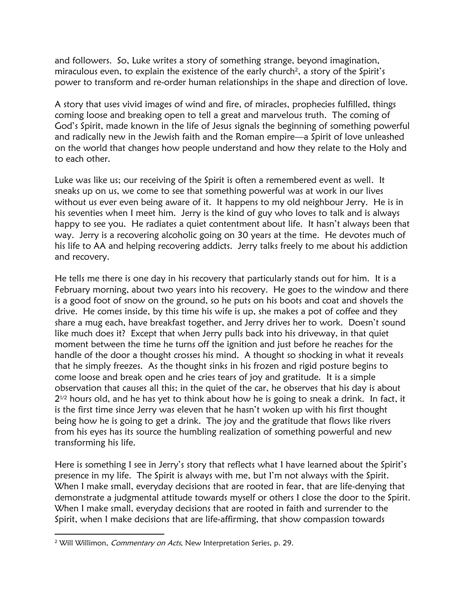and followers. So, Luke writes a story of something strange, beyond imagination, miraculous even, to explain the existence of the early church<sup>2</sup>, a story of the Spirit's power to transform and re-order human relationships in the shape and direction of love.

A story that uses vivid images of wind and fire, of miracles, prophecies fulfilled, things coming loose and breaking open to tell a great and marvelous truth. The coming of God's Spirit, made known in the life of Jesus signals the beginning of something powerful and radically new in the Jewish faith and the Roman empire—a Spirit of love unleashed on the world that changes how people understand and how they relate to the Holy and to each other.

Luke was like us; our receiving of the Spirit is often a remembered event as well. It sneaks up on us, we come to see that something powerful was at work in our lives without us ever even being aware of it. It happens to my old neighbour Jerry. He is in his seventies when I meet him. Jerry is the kind of guy who loves to talk and is always happy to see you. He radiates a quiet contentment about life. It hasn't always been that way. Jerry is a recovering alcoholic going on 30 years at the time. He devotes much of his life to AA and helping recovering addicts. Jerry talks freely to me about his addiction and recovery.

He tells me there is one day in his recovery that particularly stands out for him. It is a February morning, about two years into his recovery. He goes to the window and there is a good foot of snow on the ground, so he puts on his boots and coat and shovels the drive. He comes inside, by this time his wife is up, she makes a pot of coffee and they share a mug each, have breakfast together, and Jerry drives her to work. Doesn't sound like much does it? Except that when Jerry pulls back into his driveway, in that quiet moment between the time he turns off the ignition and just before he reaches for the handle of the door a thought crosses his mind. A thought so shocking in what it reveals that he simply freezes. As the thought sinks in his frozen and rigid posture begins to come loose and break open and he cries tears of joy and gratitude. It is a simple observation that causes all this; in the quiet of the car, he observes that his day is about  $2^{1/2}$  hours old, and he has yet to think about how he is going to sneak a drink. In fact, it is the first time since Jerry was eleven that he hasn't woken up with his first thought being how he is going to get a drink. The joy and the gratitude that flows like rivers from his eyes has its source the humbling realization of something powerful and new transforming his life.

Here is something I see in Jerry's story that reflects what I have learned about the Spirit's presence in my life. The Spirit is always with me, but I'm not always with the Spirit. When I make small, everyday decisions that are rooted in fear, that are life-denying that demonstrate a judgmental attitude towards myself or others I close the door to the Spirit. When I make small, everyday decisions that are rooted in faith and surrender to the Spirit, when I make decisions that are life-affirming, that show compassion towards

<sup>&</sup>lt;sup>2</sup> Will Willimon, *Commentary on Acts*, New Interpretation Series, p. 29.